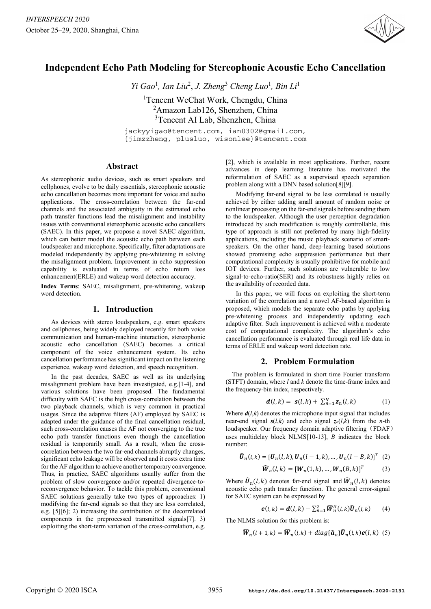

# **Independent Echo Path Modeling for Stereophonic Acoustic Echo Cancellation**

*Yi Gao*<sup>1</sup> *, Ian Liu*<sup>2</sup> , *J. Zheng*<sup>3</sup> *Cheng Luo*<sup>1</sup> *, Bin Li*<sup>1</sup> <sup>1</sup>Tencent WeChat Work, Chengdu, China <sup>2</sup>Amazon Lab126, Shenzhen, China <sup>3</sup>Tencent AI Lab, Shenzhen, China

jackyyigao@tencent.com, ian0302@gmail.com, {jimzzheng, plusluo, wisonlee}@tencent.com

## **Abstract**

As stereophonic audio devices, such as smart speakers and cellphones, evolve to be daily essentials, stereophonic acoustic echo cancellation becomes more important for voice and audio applications. The cross-correlation between the far-end channels and the associated ambiguity in the estimated echo path transfer functions lead the misalignment and instability issues with conventional stereophonic acoustic echo cancellers (SAEC). In this paper, we propose a novel SAEC algorithm, which can better model the acoustic echo path between each loudspeaker and microphone. Specifically, filter adaptations are modeled independently by applying pre-whitening in solving the misalignment problem. Improvement in echo suppression capability is evaluated in terms of echo return loss enhancement(ERLE) and wakeup word detection accuracy.

**Index Terms**: SAEC, misalignment, pre-whitening, wakeup word detection.

## **1. Introduction**

As devices with stereo loudspeakers, e.g. smart speakers and cellphones, being widely deployed recently for both voice communication and human-machine interaction, stereophonic acoustic echo cancellation (SAEC) becomes a critical component of the voice enhancement system. Its echo cancellation performance has significant impact on the listening experience, wakeup word detection, and speech recognition.

In the past decades, SAEC as well as its underlying misalignment problem have been investigated, e.g.[1-4], and various solutions have been proposed. The fundamental difficulty with SAEC is the high cross-correlation between the two playback channels, which is very common in practical usages. Since the adaptive filters (AF) employed by SAEC is adapted under the guidance of the final cancellation residual, such cross-correlation causes the AF not converging to the true echo path transfer functions even though the cancellation residual is temporarily small. As a result, when the crosscorrelation between the two far-end channels abruptly changes, significant echo leakage will be observed and it costs extra time for the AF algorithm to achieve another temporary convergence. Thus, in practice, SAEC algorithms usually suffer from the problem of slow convergence and/or repeated divergence-toreconvergence behavior. To tackle this problem, conventional SAEC solutions generally take two types of approaches: 1) modifying the far-end signals so that they are less correlated, e.g. [5][6]; 2) increasing the contribution of the decorrelated components in the preprocessed transmitted signals[7]. 3) exploiting the short-term variation of the cross-correlation, e.g.

[2], which is available in most applications. Further, recent advances in deep learning literature has motivated the reformulation of SAEC as a supervised speech separation problem along with a DNN based solution[8][9].

Modifying far-end signal to be less correlated is usually achieved by either adding small amount of random noise or nonlinear processing on the far-end signals before sending them to the loudspeaker. Although the user perception degradation introduced by such modification is roughly controllable, this type of approach is still not preferred by many high-fidelity applications, including the music playback scenario of smartspeakers. On the other hand, deep-learning based solutions showed promising echo suppression performance but their computational complexity is usually prohibitive for mobile and IOT devices. Further, such solutions are vulnerable to low signal-to-echo-ratio(SER) and its robustness highly relies on the availability of recorded data.

In this paper, we will focus on exploiting the short-term variation of the correlation and a novel AF-based algorithm is proposed, which models the separate echo paths by applying pre-whitening process and independently updating each adaptive filter. Such improvement is achieved with a moderate cost of computational complexity. The algorithm's echo cancellation performance is evaluated through real life data in terms of ERLE and wakeup word detection rate.

# **2. Problem Formulation**

The problem is formulated in short time Fourier transform (STFT) domain, where *l* and *k* denote the time-frame index and the frequency-bin index, respectively.

$$
\mathbf{d}(l,k) = \mathbf{s}(l,k) + \sum_{n=1}^{N} \mathbf{z}_n(l,k) \tag{1}
$$

Where  $d(l,k)$  denotes the microphone input signal that includes near-end signal  $s(l,k)$  and echo signal  $z_n(l,k)$  from the *n*-th loudspeaker. Our frequency domain adaptive filtering (FDAF) uses multidelay block NLMS[10-13], *B* indicates the block number:

$$
\hat{\bm{U}}_n(l,k) = [\bm{U}_n(l,k), \bm{U}_n(l-1,k), \dots, \bm{U}_n(l-B,k)]^T
$$
 (2)

$$
\widehat{\boldsymbol{W}}_n(l,k) = [\boldsymbol{W}_n(1,k), \dots, \boldsymbol{W}_n(B,k)]^T \tag{3}
$$

Where  $\widehat{\boldsymbol{U}}_n(l,k)$  denotes far-end signal and  $\widehat{\boldsymbol{W}}_n(l,k)$  denotes acoustic echo path transfer function. The general error-signal for SAEC system can be expressed by

$$
\boldsymbol{e}(l,k) = \boldsymbol{d}(l,k) - \sum_{n=1}^{2} \widehat{\boldsymbol{W}}_{n}^{H}(l,k) \widehat{\boldsymbol{U}}_{n}(l,k) \qquad (4)
$$

The NLMS solution for this problem is:

$$
\widehat{W}_n(l+1,k) = \widehat{W}_n(l,k) + diag\{\widehat{a}_n\}\widehat{U}_n(l,k)e(l,k)
$$
 (5)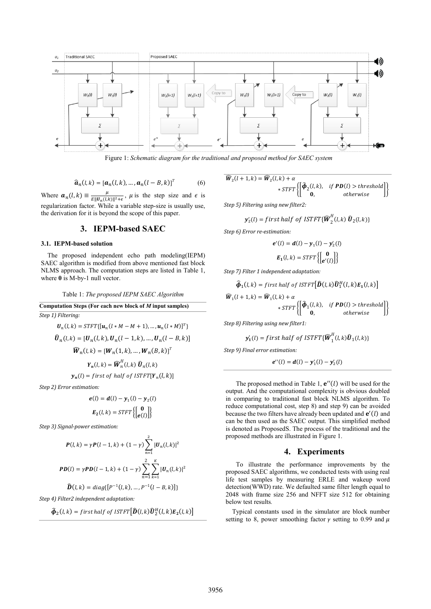

Figure 1: *Schematic diagram for the traditional and proposed method for SAEC system*

$$
\widehat{\boldsymbol{a}}_n(l,k) = [\boldsymbol{a}_n(l,k), \dots, \boldsymbol{a}_n(l-B,k)]^T
$$
 (6)

Where  $\mathbf{a}_n(l,k) \equiv \frac{\mu}{E\|\mathbf{U}_n(l,k)\|^2 + \epsilon}$ ,  $\mu$  is the step size and  $\epsilon$  is  $\mu$ regularization factor. While a variable step-size is usually use, the derivation for it is beyond the scope of this paper.

## **3. IEPM-based SAEC**

#### **3.1. IEPM-based solution**

The proposed independent echo path modeling(IEPM) SAEC algorithm is modified from above mentioned fast block NLMS approach. The computation steps are listed in Table 1, where  $\theta$  is M-by-1 null vector.

#### Table 1: *The proposed IEPM SAEC Algorithm*

**Computation Steps (For each new block of** *M* **input samples)** *Step 1) Filtering:*

$$
U_n(l, k) = STFT\{ [u_n(l * M - M + 1), \dots, u_n(l * M)]^T \}
$$
  

$$
\hat{U}_n(l, k) = [U_n(l, k), U_n(l - 1, k), \dots, U_n(l - B, k)]
$$
  

$$
\hat{W}_n(l, k) = [W_n(1, k), \dots, W_n(B, k)]^T
$$
  

$$
Y_n(l, k) = \hat{W}_n^H(l, k) \hat{U}_n(l, k)
$$
  

$$
y_n(l) = first of half of ISTFT[Y_n(l, k)]
$$

*Step 2) Error estimation:*

$$
e(l) = d(l) - y_1(l) - y_2(l)
$$

$$
E_2(l, k) = STFT\left\{ \begin{bmatrix} 0 \\ e(l) \end{bmatrix} \right\}
$$

*Step 3) Signal-power estimation:*

$$
P(l,k) = \gamma P(l-1,k) + (1-\gamma) \sum_{n=1}^{2} |U_n(l,k)|^2
$$
  

$$
PD(l) = \gamma PD(l-1,k) + (1-\gamma) \sum_{n=1}^{2} \sum_{k=1}^{K} |U_n(l,k)|^2
$$

$$
\widehat{\bm{D}}(l,k) = diag\{ [P^{-1}(l,k), ..., P^{-1}(l-B,k)] \}
$$

*Step 4) Filter2 independent adaptation:*

$$
\widehat{\boldsymbol{\phi}}_2(l,k) = \text{first half of ISTFT} \big[ \widehat{\boldsymbol{D}}(l,k) \widehat{\boldsymbol{U}}_2^H(l,k) \boldsymbol{E}_2(l,k) \big]
$$

$$
\begin{aligned} \widehat{W}_2(l+1,k) &= \widehat{W}_2(l,k) + \alpha \\ &* S T F T \left\{ \begin{bmatrix} \widehat{\boldsymbol{\phi}}_2(l,k), & \text{if } \boldsymbol{PD}(l) > \text{threshold} \\ \mathbf{0}, & \text{otherwise} \end{bmatrix} \right\} \end{aligned}
$$

*Step 5) Filtering using new filter2:*

$$
\mathbf{y}'_2(l) = \text{first half of ISTFT}\{\widehat{\boldsymbol{W}}_2^H(l,k)\,\widehat{\boldsymbol{U}}_2(l,k)\}
$$

*Step 6) Error re-estimation:*

$$
e'(l) = d(l) - y_1(l) - y_2'(l)
$$

$$
E_1(l, k) = STFT\left\{ \begin{bmatrix} 0 \\ e'(l) \end{bmatrix} \right\}
$$

*Step 7) Filter 1 independent adaptation:*

$$
\widehat{\boldsymbol{\phi}}_1(l,k) = \text{first half of ISTFT} \big[ \widehat{\boldsymbol{D}}(l,k) \widehat{\boldsymbol{U}}_1^H(l,k) \boldsymbol{E}_1(l,k) \big]
$$

$$
\begin{aligned} \widehat{\boldsymbol{W}}_1(l+1,k) &= \widehat{\boldsymbol{W}}_1(l,k) + \alpha \\ &* S T F T \left\{ \begin{bmatrix} \widehat{\boldsymbol{\phi}}_1(l,k), & \text{if } \boldsymbol{PD}(l) > \text{threshold} \\ \mathbf{0}, & \text{otherwise} \end{bmatrix} \right\} \end{aligned}
$$

*Step 8) Filtering using new filter1:*

$$
\mathbf{y}_1'(l) = \text{first half of ISTFT}\{\widehat{\boldsymbol{W}}_1^H(l,k)\widehat{\boldsymbol{U}}_1(l,k)\}
$$

*Step 9) Final error estimation:*

$$
e''(l) = d(l) - y'_1(l) - y'_2(l)
$$

The proposed method in Table 1,  $e''(l)$  will be used for the output. And the computational complexity is obvious doubled in comparing to traditional fast block NLMS algorithm. To reduce computational cost, step 8) and step 9) can be avoided because the two filters have already been updated and  $e'(l)$  and can be then used as the SAEC output. This simplified method is denoted as ProposedS. The process of the traditional and the proposed methods are illustrated in Figure 1.

### **4. Experiments**

To illustrate the performance improvements by the proposed SAEC algorithms, we conducted tests with using real life test samples by measuring ERLE and wakeup word detection(WWD) rate. We defaulted same filter length equal to 2048 with frame size 256 and NFFT size 512 for obtaining below test results*.*

Typical constants used in the simulator are block number setting to 8, power smoothing factor  $\gamma$  setting to 0.99 and  $\mu$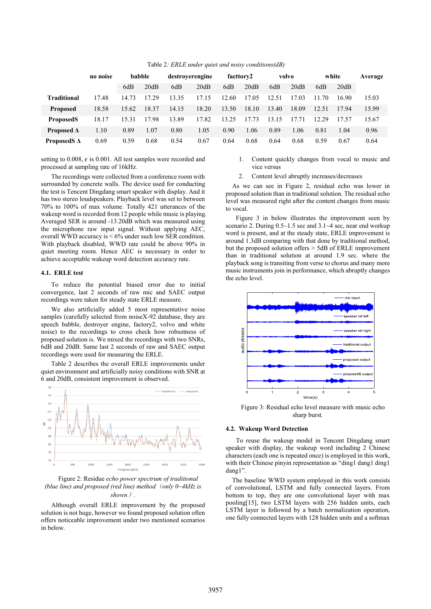|                    | no noise | babble |       | destroyerengine |       | facttory2 |       | volvo |       | white |       | Average |
|--------------------|----------|--------|-------|-----------------|-------|-----------|-------|-------|-------|-------|-------|---------|
|                    |          | 6dB    | 20dB  | 6dB             | 20dB  | 6dB       | 20dB  | 6dB   | 20dB  | 6dB   | 20dB  |         |
| <b>Traditional</b> | 17.48    | 14.73  | 17.29 | 13.35           | 17.15 | 12.60     | 17.05 | 12.51 | 17.03 | 11.70 | 16.90 | 15.03   |
| <b>Proposed</b>    | 18.58    | 15.62  | 18.37 | 14.15           | 18.20 | 13.50     | 18.10 | 13.40 | 18.09 | 12.51 | 17.94 | 15.99   |
| <b>ProposedS</b>   | 18.17    | 15.31  | 17.98 | 13.89           | 17.82 | 13.25     | 17.73 | 13.15 | 17.71 | 12.29 | 17.57 | 15.67   |
| Proposed $\Delta$  | 1.10     | 0.89   | 1.07  | 0.80            | 1.05  | 0.90      | 1.06  | 0.89  | 1.06  | 0.81  | 1.04  | 0.96    |
| ProposedS $\Delta$ | 0.69     | 0.59   | 0.68  | 0.54            | 0.67  | 0.64      | 0.68  | 0.64  | 0.68  | 0.59  | 0.67  | 0.64    |

Table 2*: ERLE under quiet and noisy conditions(dB)*

setting to 0.008,  $\epsilon$  is 0.001. All test samples were recorded and processed at sampling rate of 16kHz.

The recordings were collected from a conference room with surrounded by concrete walls. The device used for conducting the test is Tencent Dingdang smart speaker with display. And it has two stereo loudspeakers. Playback level was set to between 70% to 100% of max volume. Totally 421 utterances of the wakeup word is recorded from 12 people while music is playing. Averaged SER is around -13.20dB which was measured using the microphone raw input signal. Without applying AEC, overall WWD accuracy is < 6% under such low SER condition. With playback disabled, WWD rate could be above 90% in quiet meeting room. Hence AEC is necessary in order to achieve acceptable wakeup word detection accuracy rate.

#### **4.1. ERLE test**

To reduce the potential biased error due to initial convergence, last 2 seconds of raw mic and SAEC output recordings were taken for steady state ERLE measure.

We also artificially added 5 most representative noise samples (carefully selected from noiseX-92 database, they are speech babble, destroyer engine, factory2, volvo and white noise) to the recordings to cross check how robustness of proposed solution is. We mixed the recordings with two SNRs, 6dB and 20dB. Same last 2 seconds of raw and SAEC output recordings were used for measuring the ERLE.

Table 2 describes the overall ERLE improvements under quiet environment and artificially noisy conditions with SNR at 6 and 20dB, consistent improvement is observed.



Figure 2: Residue *echo power spectrum of traditional (blue line) and proposed (red line) method*(*only 0~4kHz is shown*)*.*

Although overall ERLE improvement by the proposed solution is not huge, however we found proposed solution often offers noticeable improvement under two mentioned scenarios in below.

- 1. Content quickly changes from vocal to music and vice versus
- 2. Content level abruptly increases/decreases

As we can see in Figure 2, residual echo was lower in proposed solution than in traditional solution. The residual echo level was measured right after the content changes from music to vocal.

Figure 3 in below illustrates the improvement seen by scenario 2. During 0.5~1.5 sec and 3.1~4 sec, near end workup word is present, and at the steady state, ERLE improvement is around 1.3dB comparing with that done by traditional method, but the proposed solution offers > 5dB of ERLE improvement than in traditional solution at around 1.9 sec. where the playback song is transiting from verse to chorus and many more music instruments join in performance, which abruptly changes the echo level.



Figure 3: Residual echo level measure with music echo sharp burst*.*

#### **4.2. Wakeup Word Detection**

To reuse the wakeup model in Tencent Dingdang smart speaker with display, the wakeup word including 2 Chinese characters (each one is repeated once) is employed in this work, with their Chinese pinyin representation as "ding1 dang1 ding1 dang1".

The baseline WWD system employed in this work consists of convolutional, LSTM and fully connected layers. From bottom to top, they are one convolutional layer with max pooling[15], two LSTM layers with 256 hidden units, each LSTM layer is followed by a batch normalization operation, one fully connected layers with 128 hidden units and a softmax